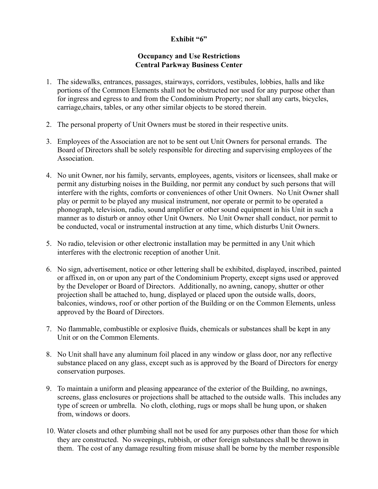## **Exhibit "6"**

## **Occupancy and Use Restrictions Central Parkway Business Center**

- 1. The sidewalks, entrances, passages, stairways, corridors, vestibules, lobbies, halls and like portions of the Common Elements shall not be obstructed nor used for any purpose other than for ingress and egress to and from the Condominium Property; nor shall any carts, bicycles, carriage,chairs, tables, or any other similar objects to be stored therein.
- 2. The personal property of Unit Owners must be stored in their respective units.
- 3. Employees of the Association are not to be sent out Unit Owners for personal errands. The Board of Directors shall be solely responsible for directing and supervising employees of the **Association**
- 4. No unit Owner, nor his family, servants, employees, agents, visitors or licensees, shall make or permit any disturbing noises in the Building, nor permit any conduct by such persons that will interfere with the rights, comforts or conveniences of other Unit Owners. No Unit Owner shall play or permit to be played any musical instrument, nor operate or permit to be operated a phonograph, television, radio, sound amplifier or other sound equipment in his Unit in such a manner as to disturb or annoy other Unit Owners. No Unit Owner shall conduct, nor permit to be conducted, vocal or instrumental instruction at any time, which disturbs Unit Owners.
- 5. No radio, television or other electronic installation may be permitted in any Unit which interferes with the electronic reception of another Unit.
- 6. No sign, advertisement, notice or other lettering shall be exhibited, displayed, inscribed, painted or affixed in, on or upon any part of the Condominium Property, except signs used or approved by the Developer or Board of Directors. Additionally, no awning, canopy, shutter or other projection shall be attached to, hung, displayed or placed upon the outside walls, doors, balconies, windows, roof or other portion of the Building or on the Common Elements, unless approved by the Board of Directors.
- 7. No flammable, combustible or explosive fluids, chemicals or substances shall be kept in any Unit or on the Common Elements.
- 8. No Unit shall have any aluminum foil placed in any window or glass door, nor any reflective substance placed on any glass, except such as is approved by the Board of Directors for energy conservation purposes.
- 9. To maintain a uniform and pleasing appearance of the exterior of the Building, no awnings, screens, glass enclosures or projections shall be attached to the outside walls. This includes any type of screen or umbrella. No cloth, clothing, rugs or mops shall be hung upon, or shaken from, windows or doors.
- 10. Water closets and other plumbing shall not be used for any purposes other than those for which they are constructed. No sweepings, rubbish, or other foreign substances shall be thrown in them. The cost of any damage resulting from misuse shall be borne by the member responsible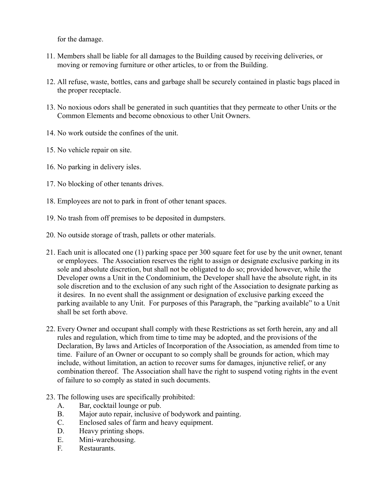for the damage.

- 11. Members shall be liable for all damages to the Building caused by receiving deliveries, or moving or removing furniture or other articles, to or from the Building.
- 12. All refuse, waste, bottles, cans and garbage shall be securely contained in plastic bags placed in the proper receptacle.
- 13. No noxious odors shall be generated in such quantities that they permeate to other Units or the Common Elements and become obnoxious to other Unit Owners.
- 14. No work outside the confines of the unit.
- 15. No vehicle repair on site.
- 16. No parking in delivery isles.
- 17. No blocking of other tenants drives.
- 18. Employees are not to park in front of other tenant spaces.
- 19. No trash from off premises to be deposited in dumpsters.
- 20. No outside storage of trash, pallets or other materials.
- 21. Each unit is allocated one (1) parking space per 300 square feet for use by the unit owner, tenant or employees. The Association reserves the right to assign or designate exclusive parking in its sole and absolute discretion, but shall not be obligated to do so; provided however, while the Developer owns a Unit in the Condominium, the Developer shall have the absolute right, in its sole discretion and to the exclusion of any such right of the Association to designate parking as it desires. In no event shall the assignment or designation of exclusive parking exceed the parking available to any Unit. For purposes of this Paragraph, the "parking available" to a Unit shall be set forth above.
- 22. Every Owner and occupant shall comply with these Restrictions as set forth herein, any and all rules and regulation, which from time to time may be adopted, and the provisions of the Declaration, By laws and Articles of Incorporation of the Association, as amended from time to time. Failure of an Owner or occupant to so comply shall be grounds for action, which may include, without limitation, an action to recover sums for damages, injunctive relief, or any combination thereof. The Association shall have the right to suspend voting rights in the event of failure to so comply as stated in such documents.
- 23. The following uses are specifically prohibited:
	- A. Bar, cocktail lounge or pub.
	- B. Major auto repair, inclusive of bodywork and painting.
	- C. Enclosed sales of farm and heavy equipment.
	- D. Heavy printing shops.
	- E. Mini-warehousing.
	- F. Restaurants.